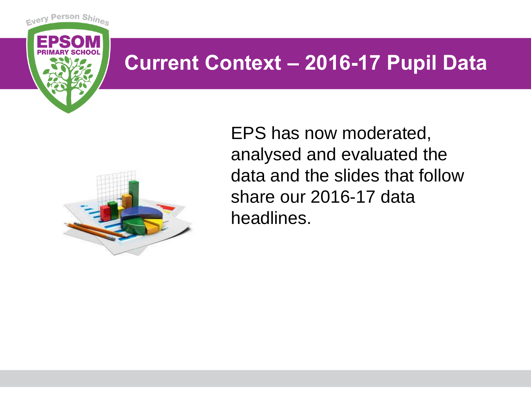#### **Current Context – 2016-17 Pupil Data**



Person Shine

Every

EPS has now moderated, analysed and evaluated the data and the slides that follow share our 2016-17 data headlines.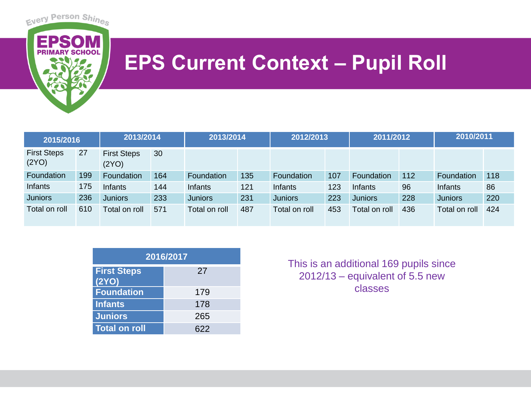

## **EPS Current Context - Pupil Roll**

| 2015/2016                   |     | 2013/2014                   |     | 2013/2014      |     | 2012/2013         |     | 2011/2012         |     | 2010/2011      |     |
|-----------------------------|-----|-----------------------------|-----|----------------|-----|-------------------|-----|-------------------|-----|----------------|-----|
| <b>First Steps</b><br>(2YO) | 27  | <b>First Steps</b><br>(2YO) | 30  |                |     |                   |     |                   |     |                |     |
| Foundation                  | 199 | Foundation                  | 164 | Foundation     | 135 | <b>Foundation</b> | 107 | <b>Foundation</b> | 112 | Foundation     | 118 |
| <b>Infants</b>              | 175 | Infants                     | 144 | Infants        | 121 | Infants           | 123 | Infants           | 96  | Infants        | 86  |
| <b>Juniors</b>              | 236 | <b>Juniors</b>              | 233 | <b>Juniors</b> | 231 | <b>Juniors</b>    | 223 | <b>Juniors</b>    | 228 | <b>Juniors</b> | 220 |
| Total on roll               | 610 | Total on roll               | 571 | Total on roll  | 487 | Total on roll     | 453 | Total on roll     | 436 | Total on roll  | 424 |

| 2016/2017                   |     |  |  |  |  |
|-----------------------------|-----|--|--|--|--|
| <b>First Steps</b><br>(2YO) | 27  |  |  |  |  |
| <b>Foundation</b>           | 179 |  |  |  |  |
| <b>Infants</b>              | 178 |  |  |  |  |
| <b>Juniors</b>              | 265 |  |  |  |  |
| <b>Total on roll</b>        | 622 |  |  |  |  |

This is an additional 169 pupils since 2012/13 – equivalent of 5.5 new classes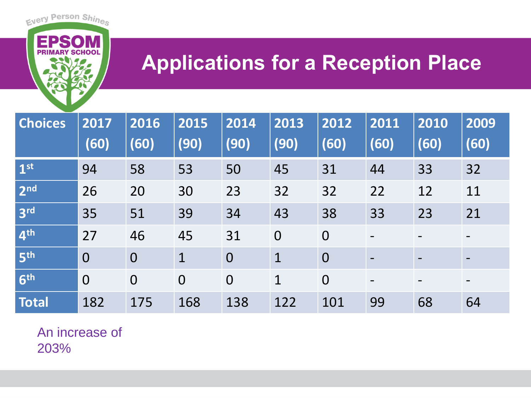## **Applications for a Reception Place**

| <b>Choices</b>  | 2017<br>(60)   | 2016<br>(60)   | 2015<br>(90)   | 2014<br>(90)   | 2013<br>(90)   | 2012<br>(60)   | 2011<br>(60) | 2010<br>(60)             | 2009<br>(60)             |
|-----------------|----------------|----------------|----------------|----------------|----------------|----------------|--------------|--------------------------|--------------------------|
| 1 <sup>st</sup> | 94             | 58             | 53             | 50             | 45             | 31             | 44           | 33                       | 32                       |
| 2 <sub>nd</sub> | 26             | 20             | 30             | 23             | 32             | 32             | 22           | 12                       | 11                       |
| 3 <sup>rd</sup> | 35             | 51             | 39             | 34             | 43             | 38             | 33           | 23                       | 21                       |
| 4 <sup>th</sup> | 27             | 46             | 45             | 31             | $\overline{0}$ | $\overline{0}$ |              | $\overline{\phantom{0}}$ | $\overline{\phantom{a}}$ |
| 5 <sup>th</sup> | $\overline{0}$ | $\overline{O}$ | $\mathbf 1$    | $\overline{0}$ | $\mathbf 1$    | $\overline{0}$ |              |                          | $\overline{\phantom{a}}$ |
| 6 <sup>th</sup> | $\overline{0}$ | $\overline{O}$ | $\overline{O}$ | $\overline{0}$ | $\mathbf 1$    | $\overline{0}$ |              |                          |                          |
| <b>Total</b>    | 182            | 175            | 168            | 138            | 122            | 101            | 99           | 68                       | 64                       |

An increase of 203%

Every Person Shines

**EPS** 

**PRI**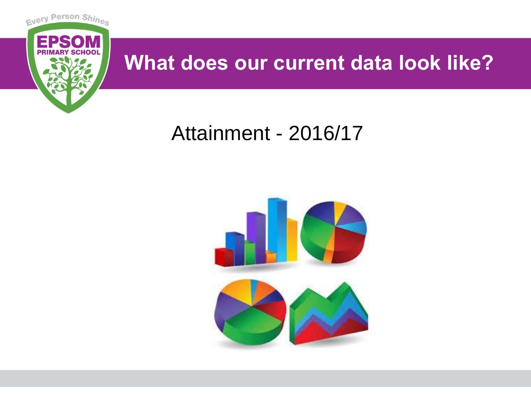

## **What does our current data look like?**

## Attainment - 2016/17

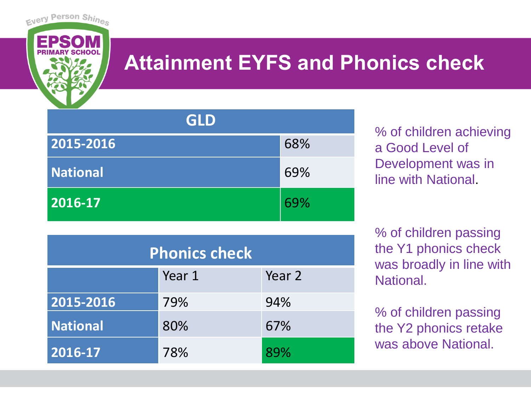

# **Attainment EYFS and Phonics check**

| <b>GLD</b>      |     |
|-----------------|-----|
| 2015-2016       | 68% |
| <b>National</b> | 69% |
| 2016-17         | 69% |

% of children achieving a Good Level of Development was in line with National.

% of children passing the Y1 phonics check was broadly in line with National.

% of children passing the Y2 phonics retake was above National.

| <b>Phonics check</b> |        |        |  |  |  |
|----------------------|--------|--------|--|--|--|
|                      | Year 1 | Year 2 |  |  |  |
| 2015-2016            | 79%    | 94%    |  |  |  |
| <b>National</b>      | 80%    | 67%    |  |  |  |
| 2016-17              | 78%    | 89%    |  |  |  |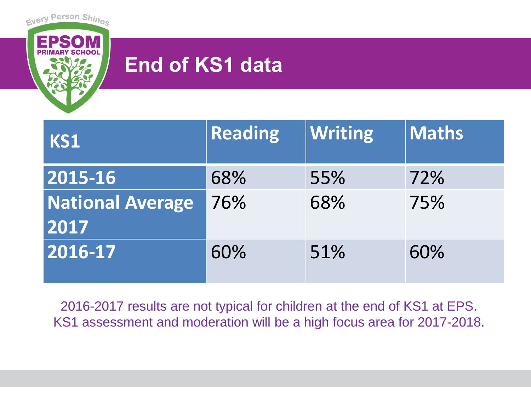

## **End of KS1 data**

| KS1                             | <b>Reading</b> | <b>Writing</b> | <b>Maths</b> |
|---------------------------------|----------------|----------------|--------------|
| 2015-16                         | 68%            | 55%            | 72%          |
| <b>National Average</b><br>2017 | 76%            | 68%            | 75%          |
| 2016-17                         | 60%            | 51%            | 60%          |

2016-2017 results are not typical for children at the end of KS1 at EPS. KS1 assessment and moderation will be a high focus area for 2017-2018.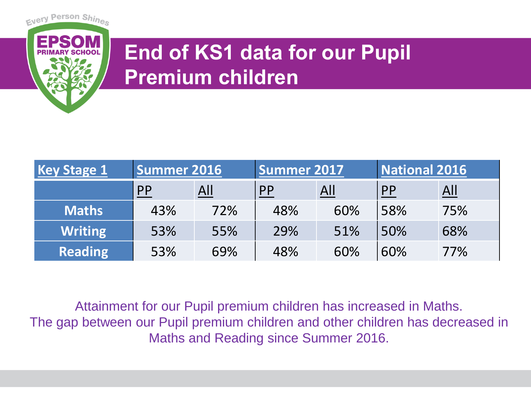

# **End of KS1 data for our Pupil Premium children**

| <b>Key Stage 1</b> | <b>Summer 2016</b> |     | Summer 2017 |     | <b>National 2016</b> |                   |
|--------------------|--------------------|-----|-------------|-----|----------------------|-------------------|
|                    | <b>PP</b>          | All | PP          | All | <b>PP</b>            | $\underline{All}$ |
| <b>Maths</b>       | 43%                | 72% | 48%         | 60% | 58%                  | 75%               |
| <b>Writing</b>     | 53%                | 55% | 29%         | 51% | 50%                  | 68%               |
| <b>Reading</b>     | 53%                | 69% | 48%         | 60% | 60%                  | 77%               |

Attainment for our Pupil premium children has increased in Maths. The gap between our Pupil premium children and other children has decreased in Maths and Reading since Summer 2016.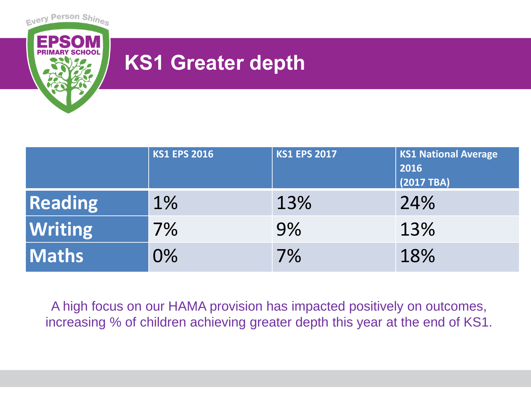

## **KS1 Greater depth**

|                | <b>KS1 EPS 2016</b> | <b>KS1 EPS 2017</b> | <b>KS1 National Average</b><br>2016<br>$(2017)$ TBA) |
|----------------|---------------------|---------------------|------------------------------------------------------|
| <b>Reading</b> | $1\%$               | 13%                 | 24%                                                  |
| <b>Writing</b> | 7%                  | 9%                  | 13%                                                  |
| <b>Maths</b>   | 0%                  | 7%                  | 18%                                                  |

A high focus on our HAMA provision has impacted positively on outcomes, increasing % of children achieving greater depth this year at the end of KS1.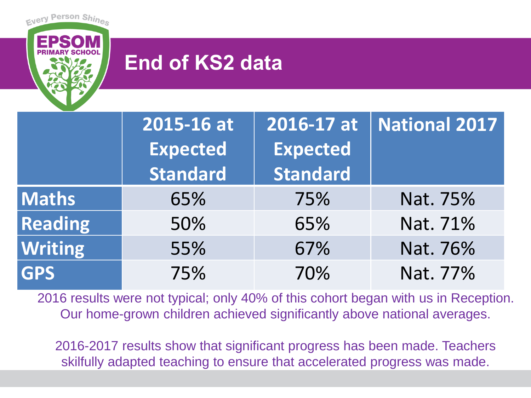

## **End of KS2 data**

|                | 2015-16 at      | 2016-17 at      | <b>National 2017</b> |
|----------------|-----------------|-----------------|----------------------|
|                | <b>Expected</b> | <b>Expected</b> |                      |
|                | <b>Standard</b> | <b>Standard</b> |                      |
| <b>Maths</b>   | 65%             | 75%             | Nat. 75%             |
| <b>Reading</b> | 50%             | 65%             | Nat. 71%             |
| <b>Writing</b> | 55%             | 67%             | Nat. 76%             |
| <b>GPS</b>     | 75%             | 70%             | Nat. 77%             |

2016 results were not typical; only 40% of this cohort began with us in Reception. Our home-grown children achieved significantly above national averages.

2016-2017 results show that significant progress has been made. Teachers skilfully adapted teaching to ensure that accelerated progress was made.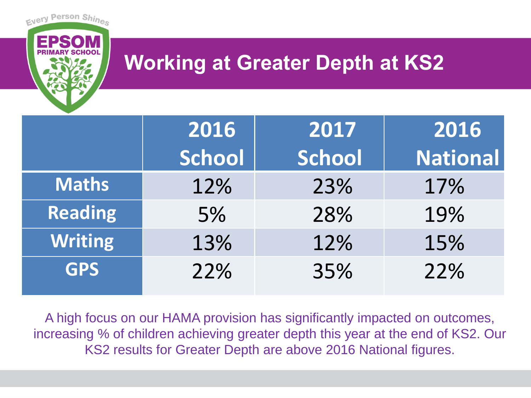## **Working at Greater Depth at KS2**

Every Person Shine

|                | 2016   | 2017   | 2016            |
|----------------|--------|--------|-----------------|
|                | School | School | <b>National</b> |
| <b>Maths</b>   | 12%    | 23%    | 17%             |
| <b>Reading</b> | 5%     | 28%    | 19%             |
| <b>Writing</b> | 13%    | 12%    | 15%             |
| <b>GPS</b>     | 22%    | 35%    | 22%             |

A high focus on our HAMA provision has significantly impacted on outcomes, increasing % of children achieving greater depth this year at the end of KS2. Our KS2 results for Greater Depth are above 2016 National figures.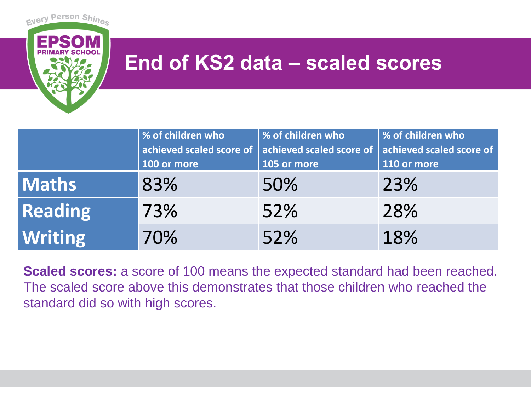

### **End of KS2 data – scaled scores**

|                | % of children who        | % of children who        | % of children who        |
|----------------|--------------------------|--------------------------|--------------------------|
|                | achieved scaled score of | achieved scaled score of | achieved scaled score of |
|                | 100 or more              | 105 or more              | 110 or more              |
| <b>Maths</b>   | 83%                      | 50%                      | 23%                      |
| <b>Reading</b> | 73%                      | 52%                      | 28%                      |
| <b>Writing</b> | 70%                      | 52%                      | 18%                      |

**Scaled scores:** a score of 100 means the expected standard had been reached. The scaled score above this demonstrates that those children who reached the standard did so with high scores.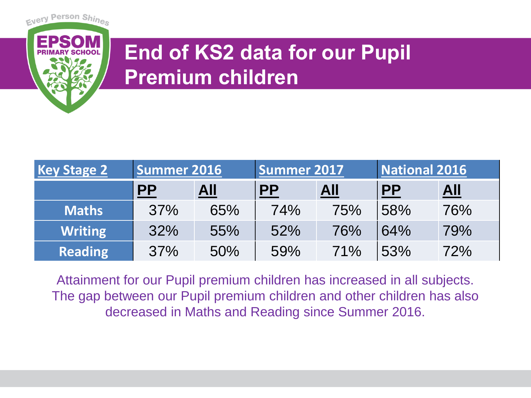

# **End of KS2 data for our Pupil Premium children**

| <b>Key Stage 2</b> | Summer 2016 |            | <b>Summer 2017</b> |                   | National 2016             |            |
|--------------------|-------------|------------|--------------------|-------------------|---------------------------|------------|
|                    | <b>PP</b>   | <u>All</u> | $\mathbf{P}$       | $\underline{All}$ | $\underline{\mathsf{PP}}$ | <u>All</u> |
| <b>Maths</b>       | 37%         | 65%        | 74%                | 75%               | 58%                       | 76%        |
| <b>Writing</b>     | 32%         | 55%        | 52%                | 76%               | 64%                       | 79%        |
| <b>Reading</b>     | 37%         | 50%        | 59%                | 71%               | 53%                       | 72%        |

Attainment for our Pupil premium children has increased in all subjects. The gap between our Pupil premium children and other children has also decreased in Maths and Reading since Summer 2016.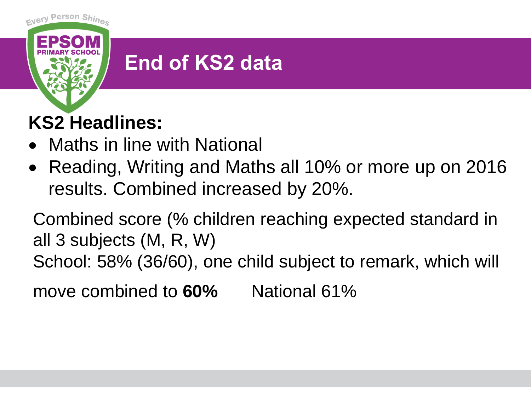

# **End of KS2 data**

## **KS2 Headlines:**

- Maths in line with National
- Reading, Writing and Maths all 10% or more up on 2016 results. Combined increased by 20%.

Combined score (% children reaching expected standard in all 3 subjects (M, R, W)

School: 58% (36/60), one child subject to remark, which will

move combined to **60%** National 61%